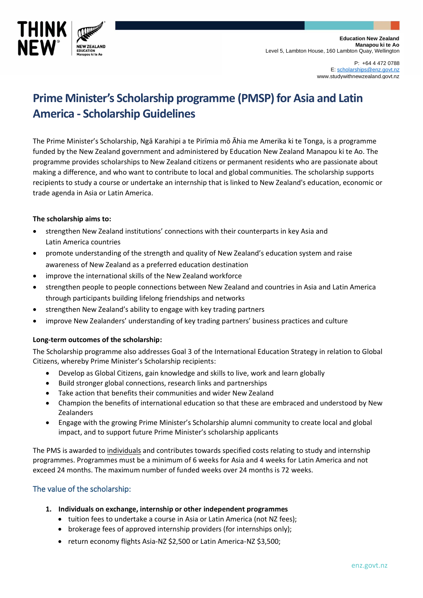

P: +64 4 472 0788 E[: scholarships@enz.govt.nz](mailto:scholarships@enz.govt.nz) www.studywithnewzealand.govt.nz

# $\blacksquare$ Prime Minister's Scholarship programme (PMSP) for Asia and Latin **America - Scholarship Guidelines**

The Prime Minister's Scholarship, Ngā Karahipi a te Pirīmia mō Āhia me Amerika ki te Tonga, is a programme funded by the New Zealand government and administered by Education New Zealand Manapou ki te Ao. The programme provides scholarships to New Zealand citizens or permanent residents who are passionate about making a difference, and who want to contribute to local and global communities. The scholarship supports recipients to study a course or undertake an internship that is linked to New Zealand's education, economic or trade agenda in Asia or Latin America.

## **The scholarship aims to:**

- strengthen New Zealand institutions' connections with their counterparts in key Asia and Latin America countries
- promote understanding of the strength and quality of New Zealand's education system and raise awareness of New Zealand as a preferred education destination
- improve the international skills of the New Zealand workforce
- strengthen people to people connections between New Zealand and countries in Asia and Latin America through participants building lifelong friendships and networks
- strengthen New Zealand's ability to engage with key trading partners
- improve New Zealanders' understanding of key trading partners' business practices and culture

### **Long-term outcomes of the scholarship:**

The Scholarship programme also addresses Goal 3 of the International Education Strategy in relation to Global Citizens, whereby Prime Minister's Scholarship recipients:

- Develop as Global Citizens, gain knowledge and skills to live, work and learn globally
- Build stronger global connections, research links and partnerships
- Take action that benefits their communities and wider New Zealand
- Champion the benefits of international education so that these are embraced and understood by New Zealanders
- Engage with the growing Prime Minister's Scholarship alumni community to create local and global impact, and to support future Prime Minister's scholarship applicants

The PMS is awarded to individuals and contributes towards specified costs relating to study and internship programmes. Programmes must be a minimum of 6 weeks for Asia and 4 weeks for Latin America and not exceed 24 months. The maximum number of funded weeks over 24 months is 72 weeks.

## The value of the scholarship:

- **1. Individuals on exchange, internship or other independent programmes**
	- tuition fees to undertake a course in Asia or Latin America (not NZ fees);
	- brokerage fees of approved internship providers (for internships only);
	- return economy flights Asia-NZ \$2,500 or Latin America-NZ \$3,500;